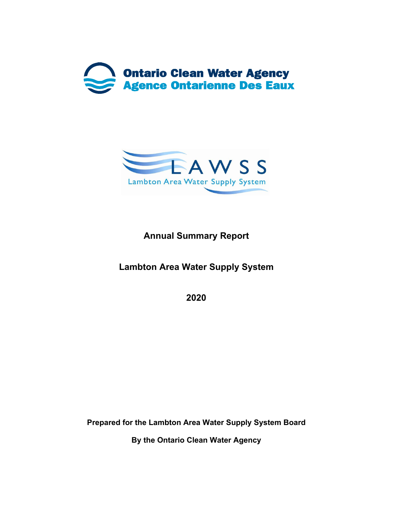



# **Annual Summary Report**

**Lambton Area Water Supply System** 

**2020** 

**Prepared for the Lambton Area Water Supply System Board** 

**By the Ontario Clean Water Agency**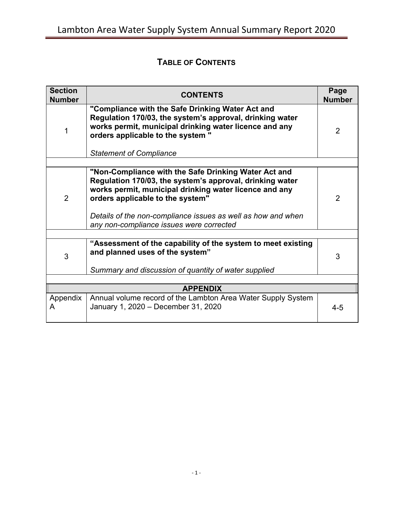# **TABLE OF CONTENTS**

| <b>Section</b><br><b>Number</b> | <b>CONTENTS</b>                                                                                                                                                                                                                               |                |  |  |  |  |
|---------------------------------|-----------------------------------------------------------------------------------------------------------------------------------------------------------------------------------------------------------------------------------------------|----------------|--|--|--|--|
|                                 | "Compliance with the Safe Drinking Water Act and<br>Regulation 170/03, the system's approval, drinking water<br>works permit, municipal drinking water licence and any<br>orders applicable to the system "<br><b>Statement of Compliance</b> | $\overline{2}$ |  |  |  |  |
|                                 |                                                                                                                                                                                                                                               |                |  |  |  |  |
| $\overline{2}$                  | "Non-Compliance with the Safe Drinking Water Act and<br>Regulation 170/03, the system's approval, drinking water<br>works permit, municipal drinking water licence and any<br>orders applicable to the system"                                | $\overline{2}$ |  |  |  |  |
|                                 | Details of the non-compliance issues as well as how and when<br>any non-compliance issues were corrected                                                                                                                                      |                |  |  |  |  |
|                                 |                                                                                                                                                                                                                                               |                |  |  |  |  |
| 3                               | "Assessment of the capability of the system to meet existing<br>and planned uses of the system"                                                                                                                                               | 3              |  |  |  |  |
|                                 | Summary and discussion of quantity of water supplied                                                                                                                                                                                          |                |  |  |  |  |
|                                 |                                                                                                                                                                                                                                               |                |  |  |  |  |
| <b>APPENDIX</b>                 |                                                                                                                                                                                                                                               |                |  |  |  |  |
| Appendix<br>A                   | Annual volume record of the Lambton Area Water Supply System<br>January 1, 2020 - December 31, 2020                                                                                                                                           | $4 - 5$        |  |  |  |  |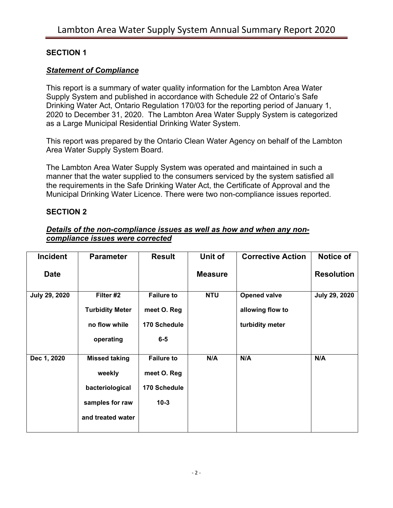#### **SECTION 1**

#### *Statement of Compliance*

This report is a summary of water quality information for the Lambton Area Water Supply System and published in accordance with Schedule 22 of Ontario's Safe Drinking Water Act, Ontario Regulation 170/03 for the reporting period of January 1, 2020 to December 31, 2020. The Lambton Area Water Supply System is categorized as a Large Municipal Residential Drinking Water System.

This report was prepared by the Ontario Clean Water Agency on behalf of the Lambton Area Water Supply System Board.

The Lambton Area Water Supply System was operated and maintained in such a manner that the water supplied to the consumers serviced by the system satisfied all the requirements in the Safe Drinking Water Act, the Certificate of Approval and the Municipal Drinking Water Licence. There were two non-compliance issues reported.

#### **SECTION 2**

#### *Details of the non-compliance issues as well as how and when any noncompliance issues were corrected*

| <b>Incident</b> | <b>Parameter</b>       | <b>Result</b>     | Unit of        | <b>Corrective Action</b> | Notice of         |
|-----------------|------------------------|-------------------|----------------|--------------------------|-------------------|
| <b>Date</b>     |                        |                   | <b>Measure</b> |                          | <b>Resolution</b> |
| July 29, 2020   | Filter #2              | <b>Failure to</b> | <b>NTU</b>     | <b>Opened valve</b>      | July 29, 2020     |
|                 | <b>Turbidity Meter</b> | meet O. Reg       |                | allowing flow to         |                   |
|                 | no flow while          | 170 Schedule      |                | turbidity meter          |                   |
|                 | operating              | $6-5$             |                |                          |                   |
| Dec 1, 2020     | <b>Missed taking</b>   | <b>Failure to</b> | N/A            | N/A                      | N/A               |
|                 | weekly                 | meet O. Reg       |                |                          |                   |
|                 | bacteriological        | 170 Schedule      |                |                          |                   |
|                 | samples for raw        | $10-3$            |                |                          |                   |
|                 | and treated water      |                   |                |                          |                   |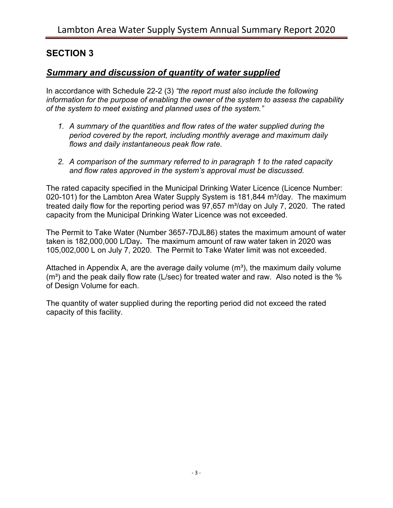## **SECTION 3**

#### *Summary and discussion of quantity of water supplied*

In accordance with Schedule 22-2 (3) *"the report must also include the following information for the purpose of enabling the owner of the system to assess the capability of the system to meet existing and planned uses of the system."*

- *1. A summary of the quantities and flow rates of the water supplied during the period covered by the report, including monthly average and maximum daily flows and daily instantaneous peak flow rate.*
- *2. A comparison of the summary referred to in paragraph 1 to the rated capacity and flow rates approved in the system's approval must be discussed.*

The rated capacity specified in the Municipal Drinking Water Licence (Licence Number: 020-101) for the Lambton Area Water Supply System is 181,844 m<sup>3</sup>/day. The maximum treated daily flow for the reporting period was  $97.657$  m $\frac{3}{\text{day}}$  on July 7, 2020. The rated capacity from the Municipal Drinking Water Licence was not exceeded.

The Permit to Take Water (Number 3657-7DJL86) states the maximum amount of water taken is 182,000,000 L/Day**.** The maximum amount of raw water taken in 2020 was 105,002,000 L on July 7, 2020. The Permit to Take Water limit was not exceeded.

Attached in Appendix A, are the average daily volume  $(m<sup>3</sup>)$ , the maximum daily volume  $(m<sup>3</sup>)$  and the peak daily flow rate (L/sec) for treated water and raw. Also noted is the % of Design Volume for each.

The quantity of water supplied during the reporting period did not exceed the rated capacity of this facility.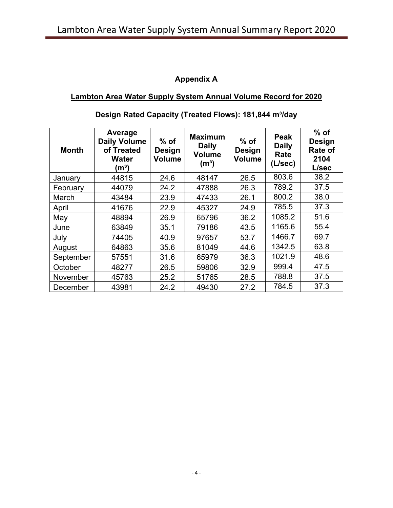## **Appendix A**

## **Lambton Area Water Supply System Annual Volume Record for 2020**

| <b>Month</b> | Average<br><b>Daily Volume</b><br>of Treated<br><b>Water</b><br>(m <sup>3</sup> ) | $%$ of<br><b>Design</b><br>Volume | <b>Maximum</b><br><b>Daily</b><br><b>Volume</b><br>(m <sup>3</sup> ) | $%$ of<br><b>Design</b><br><b>Volume</b> | <b>Peak</b><br><b>Daily</b><br>Rate<br>(L/sec) | $%$ of<br><b>Design</b><br><b>Rate of</b><br>2104<br>L/sec |
|--------------|-----------------------------------------------------------------------------------|-----------------------------------|----------------------------------------------------------------------|------------------------------------------|------------------------------------------------|------------------------------------------------------------|
| January      | 44815                                                                             | 24.6                              | 48147                                                                | 26.5                                     | 803.6                                          | 38.2                                                       |
| February     | 44079                                                                             | 24.2                              | 47888                                                                | 26.3                                     | 789.2                                          | 37.5                                                       |
| March        | 43484                                                                             | 23.9                              | 47433                                                                | 26.1                                     | 800.2                                          | 38.0                                                       |
| April        | 41676                                                                             | 22.9                              | 45327                                                                | 24.9                                     | 785.5                                          | 37.3                                                       |
| May          | 48894                                                                             | 26.9                              | 65796                                                                | 36.2                                     | 1085.2                                         | 51.6                                                       |
| June         | 63849                                                                             | 35.1                              | 79186                                                                | 43.5                                     | 1165.6                                         | 55.4                                                       |
| July         | 74405                                                                             | 40.9                              | 97657                                                                | 53.7                                     | 1466.7                                         | 69.7                                                       |
| August       | 64863                                                                             | 35.6                              | 81049                                                                | 44.6                                     | 1342.5                                         | 63.8                                                       |
| September    | 57551                                                                             | 31.6                              | 65979                                                                | 36.3                                     | 1021.9                                         | 48.6                                                       |
| October      | 48277                                                                             | 26.5                              | 59806                                                                | 32.9                                     | 999.4                                          | 47.5                                                       |
| November     | 45763                                                                             | 25.2                              | 51765                                                                | 28.5                                     | 788.8                                          | 37.5                                                       |
| December     | 43981                                                                             | 24.2                              | 49430                                                                | 27.2                                     | 784.5                                          | 37.3                                                       |

## Design Rated Capacity (Treated Flows): 181,844 m<sup>3</sup>/day